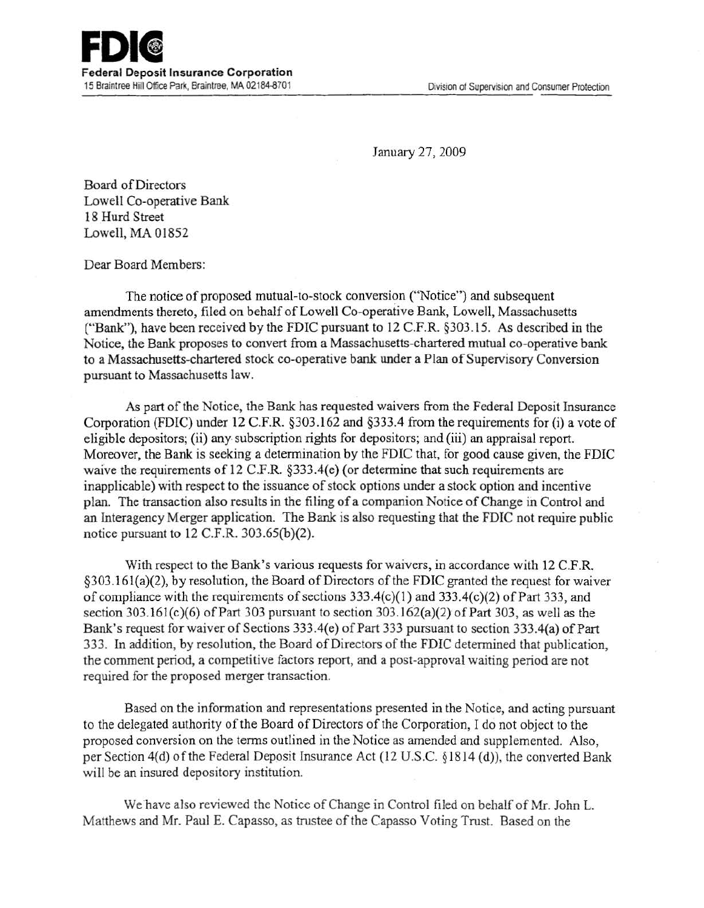January 27, 2009

Board of Directors Lowell Co-operative Bank 18 Hurd Street Lowell, MA 01852

Dear Board Members:

The notice of proposed mutual-to-stock conversion ("Notice") and subsequent amendments thereto, filed on behalf of Lowell Co-operative Bank, Lowell, Massachusetts ("Bank"), have been received by the FDIC pursuant to 12 C.F.R. §303 .15. As described in the Notice, the Bank proposes to convert from a Massachusetts-chartered mutual co-operative bank to a Massachusetts-chartered stock co-operative bank under a Plan of Supervisory Conversion pursuant to Massachusetts law.

As part of the Notice, the Bank has requested waivers from the Federal Deposit Insurance Corporation (FDIC) under 12 C.F.R. §303 .162 and §333.4 from the requirements for (i) a vote of eligible depositors; (ii) any subscription rights for depositors; and (iii) an appraisal report. Moreover, the Bank is seeking a determination by the FDIC that, for good cause given, the FDIC waive the requirements of 12 C.F.R. §333.4(e) (or determine that such requirements are inapplicable) with respect to the issuance of stock options under a stock option and incentive plan. The transaction also results in the filing of a companion Notice of Change in Control and an Interagency Merger application. The Bank is also requesting that the FDIC not require public notice pursuant to 12 C.F.R. 303.65(b)(2).

With respect to the Bank's various requests for waivers, in accordance with 12 C.F.R. §303.16l(a)(2), by resolution, the Board of Directors of the FDIC granted the request for waiver of compliance with the requirements of sections 333.4(c){l) and 333.4(c)(2) of Part 333, and section 303.161(c)(6) of Part 303 pursuant to section 303.162(a)(2) of Part 303, as well as the Bank's request for waiver of Sections 333.4(e) of Part 333 pursuant to section 333.4{a) of Part 333. In addition, by resolution, the Board of Directors of the FDIC determined that publication, the comment period, a competitive factors report, and a post-approval waiting period are not required for the proposed merger transaction.

Based on the information and representations presented in the Notice, and acting pursuant to the delegated authority of the Board of Directors of the Corporation, I do not object to the proposed conversion on the terms outlined in the Notice as amended and supplemented. Also, per Section 4(d) of the Federal Deposit Insurance Act (12 U.S.C. §1814 (d)), the converted Bank will be an insured depository institution.

We have also reviewed the Notice of Change in Control filed on behalf of Mr. John L. Matthews and Mr. Paul E. Capasso, as trustee of the Capasso Voting Trust. Based on the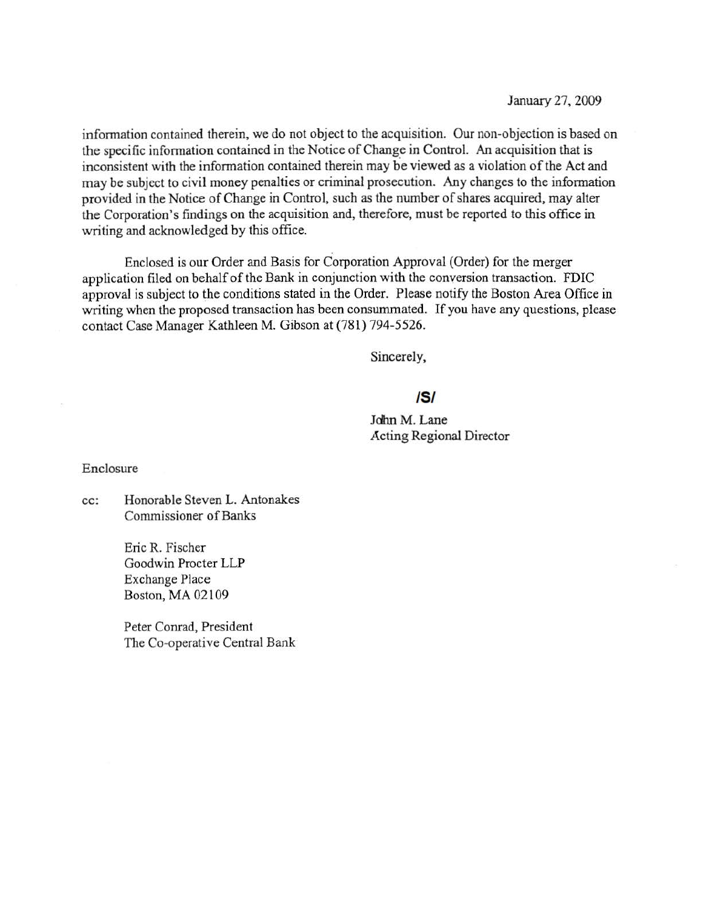January 27, 2009

information contained therein, we do not object to the acquisition. Our non-objection is based on the specific information contained in the Notice of Change in Control. An acquisition that is inconsistent with the information contained therein may be viewed as a violation of the Act and may be subject to civil money penalties or criminal prosecution. Any changes to the information provided in the Notice of Change in Control, such as the number of shares acquired, may alter the Corporation's findings on the acquisition and, therefore, must be reported to this office in writing and acknowledged by this office.

Enclosed is our Order and Basis for Corporation Approval (Order) for the merger application filed on behalf of the Bank in conjunction with the conversion transaction. FDIC approval is subject to the conditions stated in the Order. Please notify the Boston Area Office in writing when the proposed transaction has been consummated. If you have any questions, please contact Case Manager Kathleen M. Gibson at (781) 794-5526.

Sincerely,

# IS/

John M. Lane Acting Regional Director

#### Enclosure

cc: Honorable Steven L. Antonakes Commissioner of Banks

> Eric R. Fischer Goodwin Procter LLP Exchange Place Boston, MA 02109

Peter Conrad, President The Co-operative Central Bank